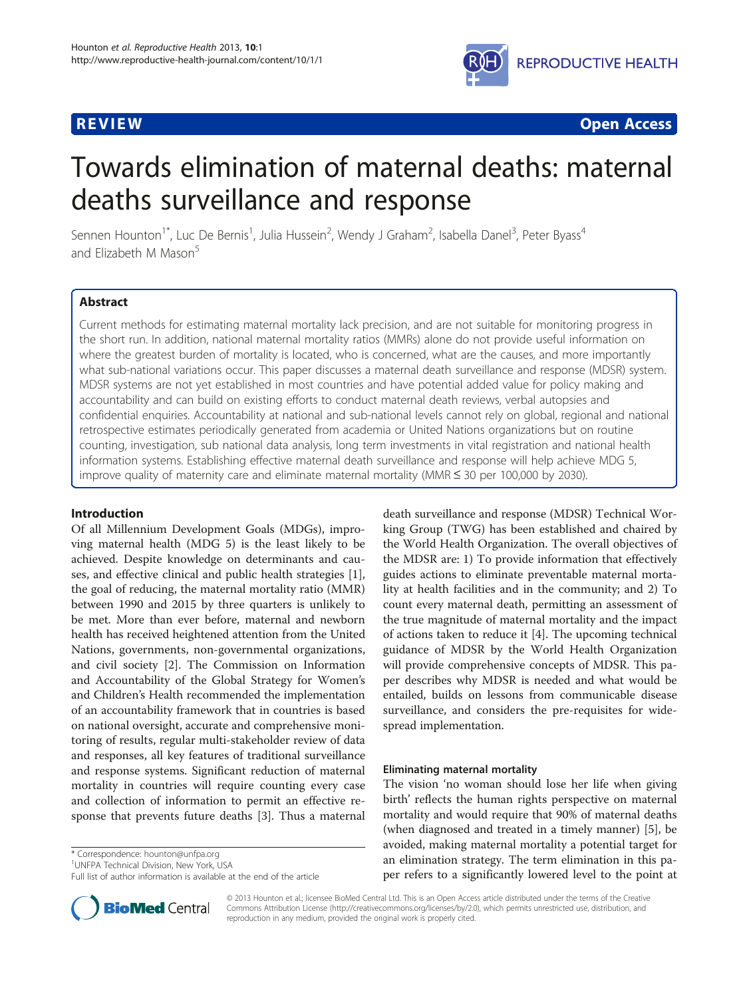

**REVIEW CONSTRUCTION CONSTRUCTION CONSTRUCTION CONSTRUCTION CONSTRUCTION CONSTRUCTION CONSTRUCTION CONSTRUCTION** 

# Towards elimination of maternal deaths: maternal deaths surveillance and response

Sennen Hounton<sup>1\*</sup>, Luc De Bernis<sup>1</sup>, Julia Hussein<sup>2</sup>, Wendy J Graham<sup>2</sup>, Isabella Danel<sup>3</sup>, Peter Byass<sup>4</sup> and Flizabeth M Mason<sup>5</sup>

# Abstract

Current methods for estimating maternal mortality lack precision, and are not suitable for monitoring progress in the short run. In addition, national maternal mortality ratios (MMRs) alone do not provide useful information on where the greatest burden of mortality is located, who is concerned, what are the causes, and more importantly what sub-national variations occur. This paper discusses a maternal death surveillance and response (MDSR) system. MDSR systems are not yet established in most countries and have potential added value for policy making and accountability and can build on existing efforts to conduct maternal death reviews, verbal autopsies and confidential enquiries. Accountability at national and sub-national levels cannot rely on global, regional and national retrospective estimates periodically generated from academia or United Nations organizations but on routine counting, investigation, sub national data analysis, long term investments in vital registration and national health information systems. Establishing effective maternal death surveillance and response will help achieve MDG 5, improve quality of maternity care and eliminate maternal mortality (MMR ≤ 30 per 100,000 by 2030).

# Introduction

Of all Millennium Development Goals (MDGs), improving maternal health (MDG 5) is the least likely to be achieved. Despite knowledge on determinants and causes, and effective clinical and public health strategies [\[1](#page-7-0)], the goal of reducing, the maternal mortality ratio (MMR) between 1990 and 2015 by three quarters is unlikely to be met. More than ever before, maternal and newborn health has received heightened attention from the United Nations, governments, non-governmental organizations, and civil society [[2\]](#page-7-0). The Commission on Information and Accountability of the Global Strategy for Women's and Children's Health recommended the implementation of an accountability framework that in countries is based on national oversight, accurate and comprehensive monitoring of results, regular multi-stakeholder review of data and responses, all key features of traditional surveillance and response systems. Significant reduction of maternal mortality in countries will require counting every case and collection of information to permit an effective response that prevents future deaths [[3\]](#page-7-0). Thus a maternal

\* Correspondence: [hounton@unfpa.org](mailto:hounton@unfpa.org) <sup>1</sup>

UNFPA Technical Division, New York, USA

Full list of author information is available at the end of the article

death surveillance and response (MDSR) Technical Working Group (TWG) has been established and chaired by the World Health Organization. The overall objectives of the MDSR are: 1) To provide information that effectively guides actions to eliminate preventable maternal mortality at health facilities and in the community; and 2) To count every maternal death, permitting an assessment of the true magnitude of maternal mortality and the impact of actions taken to reduce it [[4\]](#page-7-0). The upcoming technical guidance of MDSR by the World Health Organization will provide comprehensive concepts of MDSR. This paper describes why MDSR is needed and what would be entailed, builds on lessons from communicable disease surveillance, and considers the pre-requisites for widespread implementation.

#### Eliminating maternal mortality

The vision 'no woman should lose her life when giving birth' reflects the human rights perspective on maternal mortality and would require that 90% of maternal deaths (when diagnosed and treated in a timely manner) [[5](#page-7-0)], be avoided, making maternal mortality a potential target for an elimination strategy. The term elimination in this paper refers to a significantly lowered level to the point at



© 2013 Hounton et al.; licensee BioMed Central Ltd. This is an Open Access article distributed under the terms of the Creative Commons Attribution License [\(http://creativecommons.org/licenses/by/2.0\)](http://creativecommons.org/licenses/by/2.0), which permits unrestricted use, distribution, and reproduction in any medium, provided the original work is properly cited.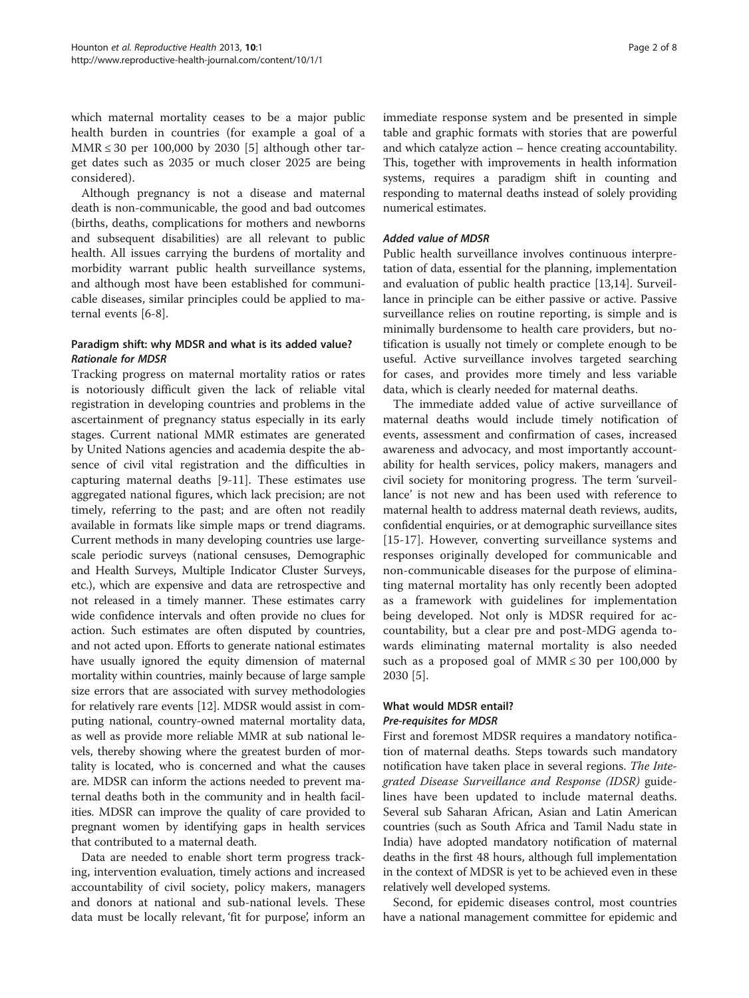which maternal mortality ceases to be a major public health burden in countries (for example a goal of a  $MMR \leq 30$  per 100,000 by 2030 [[5\]](#page-7-0) although other target dates such as 2035 or much closer 2025 are being considered).

Although pregnancy is not a disease and maternal death is non-communicable, the good and bad outcomes (births, deaths, complications for mothers and newborns and subsequent disabilities) are all relevant to public health. All issues carrying the burdens of mortality and morbidity warrant public health surveillance systems, and although most have been established for communicable diseases, similar principles could be applied to maternal events [\[6](#page-7-0)-[8\]](#page-7-0).

# Paradigm shift: why MDSR and what is its added value? Rationale for MDSR

Tracking progress on maternal mortality ratios or rates is notoriously difficult given the lack of reliable vital registration in developing countries and problems in the ascertainment of pregnancy status especially in its early stages. Current national MMR estimates are generated by United Nations agencies and academia despite the absence of civil vital registration and the difficulties in capturing maternal deaths [\[9](#page-7-0)-[11\]](#page-7-0). These estimates use aggregated national figures, which lack precision; are not timely, referring to the past; and are often not readily available in formats like simple maps or trend diagrams. Current methods in many developing countries use largescale periodic surveys (national censuses, Demographic and Health Surveys, Multiple Indicator Cluster Surveys, etc.), which are expensive and data are retrospective and not released in a timely manner. These estimates carry wide confidence intervals and often provide no clues for action. Such estimates are often disputed by countries, and not acted upon. Efforts to generate national estimates have usually ignored the equity dimension of maternal mortality within countries, mainly because of large sample size errors that are associated with survey methodologies for relatively rare events [[12](#page-7-0)]. MDSR would assist in computing national, country-owned maternal mortality data, as well as provide more reliable MMR at sub national levels, thereby showing where the greatest burden of mortality is located, who is concerned and what the causes are. MDSR can inform the actions needed to prevent maternal deaths both in the community and in health facilities. MDSR can improve the quality of care provided to pregnant women by identifying gaps in health services that contributed to a maternal death.

Data are needed to enable short term progress tracking, intervention evaluation, timely actions and increased accountability of civil society, policy makers, managers and donors at national and sub-national levels. These data must be locally relevant, 'fit for purpose', inform an immediate response system and be presented in simple table and graphic formats with stories that are powerful and which catalyze action – hence creating accountability. This, together with improvements in health information systems, requires a paradigm shift in counting and responding to maternal deaths instead of solely providing numerical estimates.

### Added value of MDSR

Public health surveillance involves continuous interpretation of data, essential for the planning, implementation and evaluation of public health practice [\[13,14\]](#page-7-0). Surveillance in principle can be either passive or active. Passive surveillance relies on routine reporting, is simple and is minimally burdensome to health care providers, but notification is usually not timely or complete enough to be useful. Active surveillance involves targeted searching for cases, and provides more timely and less variable data, which is clearly needed for maternal deaths.

The immediate added value of active surveillance of maternal deaths would include timely notification of events, assessment and confirmation of cases, increased awareness and advocacy, and most importantly accountability for health services, policy makers, managers and civil society for monitoring progress. The term 'surveillance' is not new and has been used with reference to maternal health to address maternal death reviews, audits, confidential enquiries, or at demographic surveillance sites [[15-17\]](#page-7-0). However, converting surveillance systems and responses originally developed for communicable and non-communicable diseases for the purpose of eliminating maternal mortality has only recently been adopted as a framework with guidelines for implementation being developed. Not only is MDSR required for accountability, but a clear pre and post-MDG agenda towards eliminating maternal mortality is also needed such as a proposed goal of  $MMR \leq 30$  per 100,000 by 2030 [[5\]](#page-7-0).

# What would MDSR entail? Pre-requisites for MDSR

First and foremost MDSR requires a mandatory notification of maternal deaths. Steps towards such mandatory notification have taken place in several regions. The Integrated Disease Surveillance and Response (IDSR) guidelines have been updated to include maternal deaths. Several sub Saharan African, Asian and Latin American countries (such as South Africa and Tamil Nadu state in India) have adopted mandatory notification of maternal deaths in the first 48 hours, although full implementation in the context of MDSR is yet to be achieved even in these relatively well developed systems.

Second, for epidemic diseases control, most countries have a national management committee for epidemic and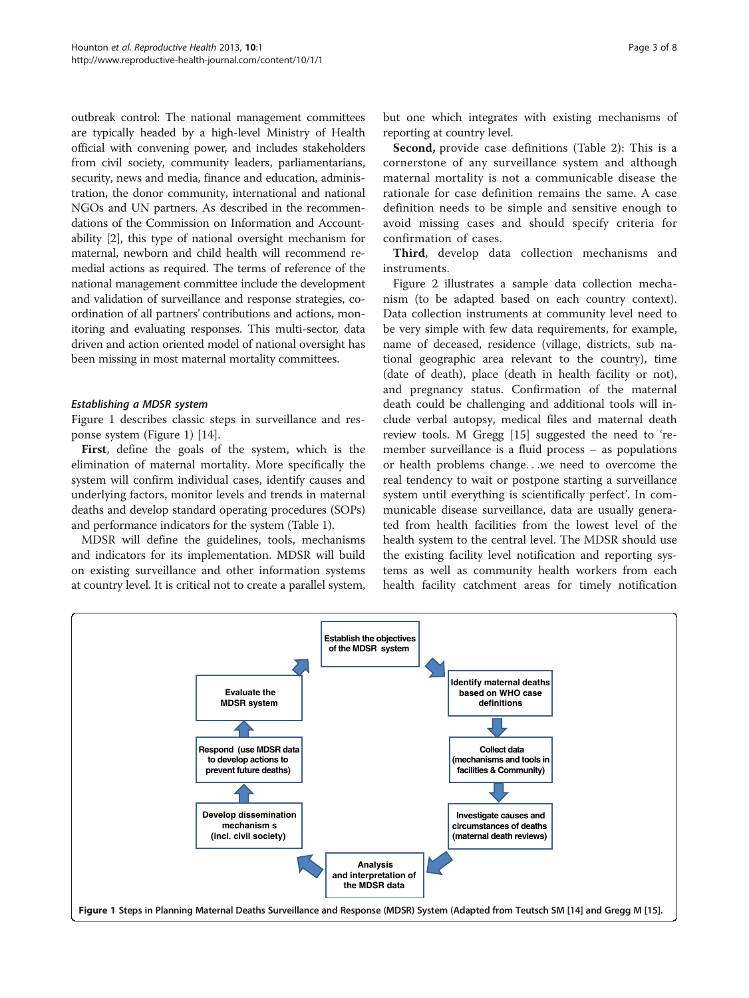outbreak control: The national management committees are typically headed by a high-level Ministry of Health official with convening power, and includes stakeholders from civil society, community leaders, parliamentarians, security, news and media, finance and education, administration, the donor community, international and national NGOs and UN partners. As described in the recommendations of the Commission on Information and Accountability [[2\]](#page-7-0), this type of national oversight mechanism for maternal, newborn and child health will recommend remedial actions as required. The terms of reference of the national management committee include the development and validation of surveillance and response strategies, coordination of all partners' contributions and actions, monitoring and evaluating responses. This multi-sector, data driven and action oriented model of national oversight has been missing in most maternal mortality committees.

# Establishing a MDSR system

Figure 1 describes classic steps in surveillance and response system (Figure 1) [\[14](#page-7-0)].

First, define the goals of the system, which is the elimination of maternal mortality. More specifically the system will confirm individual cases, identify causes and underlying factors, monitor levels and trends in maternal deaths and develop standard operating procedures (SOPs) and performance indicators for the system (Table [1\)](#page-3-0).

MDSR will define the guidelines, tools, mechanisms and indicators for its implementation. MDSR will build on existing surveillance and other information systems at country level. It is critical not to create a parallel system,

but one which integrates with existing mechanisms of reporting at country level.

Second, provide case definitions (Table [2](#page-4-0)): This is a cornerstone of any surveillance system and although maternal mortality is not a communicable disease the rationale for case definition remains the same. A case definition needs to be simple and sensitive enough to avoid missing cases and should specify criteria for confirmation of cases.

Third, develop data collection mechanisms and instruments.

Figure [2](#page-5-0) illustrates a sample data collection mechanism (to be adapted based on each country context). Data collection instruments at community level need to be very simple with few data requirements, for example, name of deceased, residence (village, districts, sub national geographic area relevant to the country), time (date of death), place (death in health facility or not), and pregnancy status. Confirmation of the maternal death could be challenging and additional tools will include verbal autopsy, medical files and maternal death review tools. M Gregg [[15\]](#page-7-0) suggested the need to 'remember surveillance is a fluid process – as populations or health problems change...we need to overcome the real tendency to wait or postpone starting a surveillance system until everything is scientifically perfect'. In communicable disease surveillance, data are usually generated from health facilities from the lowest level of the health system to the central level. The MDSR should use the existing facility level notification and reporting systems as well as community health workers from each health facility catchment areas for timely notification

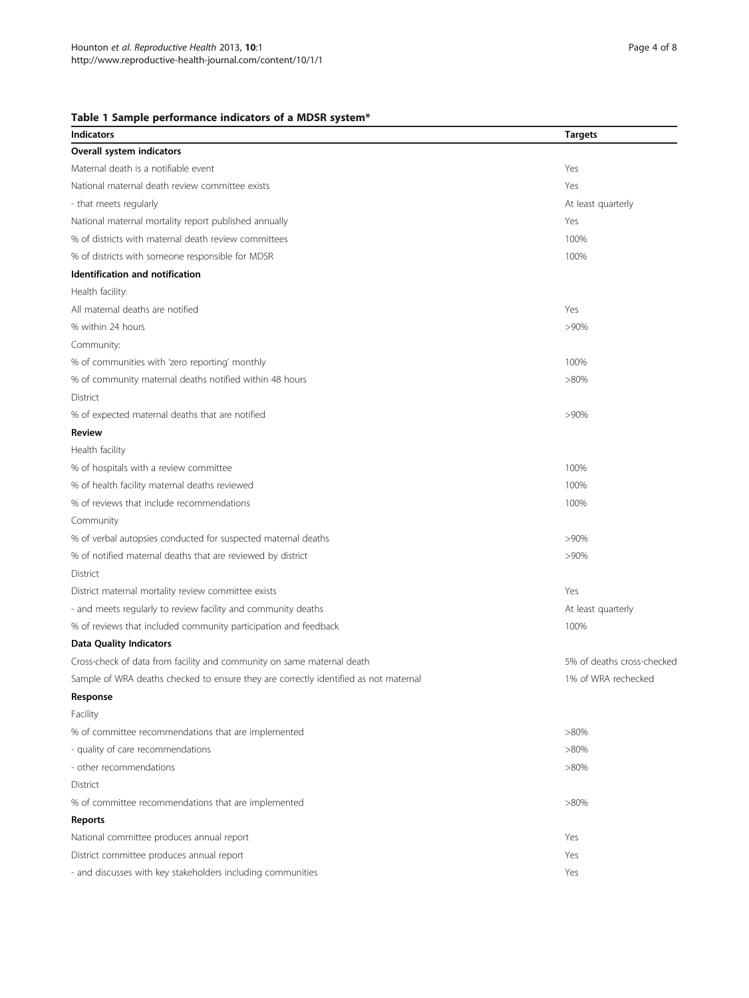# <span id="page-3-0"></span>Table 1 Sample performance indicators of a MDSR system\*

| <b>Indicators</b>                                                                    | <b>Targets</b>             |  |
|--------------------------------------------------------------------------------------|----------------------------|--|
| Overall system indicators                                                            |                            |  |
| Maternal death is a notifiable event                                                 | Yes                        |  |
| National maternal death review committee exists                                      | Yes                        |  |
| - that meets regularly                                                               | At least quarterly         |  |
| National maternal mortality report published annually                                | Yes                        |  |
| % of districts with maternal death review committees                                 | 100%                       |  |
| % of districts with someone responsible for MDSR                                     | 100%                       |  |
| Identification and notification                                                      |                            |  |
| Health facility:                                                                     |                            |  |
| All maternal deaths are notified                                                     | Yes                        |  |
| % within 24 hours                                                                    | >90%                       |  |
| Community:                                                                           |                            |  |
| % of communities with 'zero reporting' monthly                                       | 100%                       |  |
| % of community maternal deaths notified within 48 hours                              | $>80\%$                    |  |
| District                                                                             |                            |  |
| % of expected maternal deaths that are notified                                      | >90%                       |  |
| <b>Review</b>                                                                        |                            |  |
| Health facility                                                                      |                            |  |
| % of hospitals with a review committee                                               | 100%                       |  |
| % of health facility maternal deaths reviewed                                        | 100%                       |  |
| % of reviews that include recommendations                                            | 100%                       |  |
| Community                                                                            |                            |  |
| % of verbal autopsies conducted for suspected maternal deaths                        | >90%                       |  |
| % of notified maternal deaths that are reviewed by district                          | >90%                       |  |
| District                                                                             |                            |  |
| District maternal mortality review committee exists                                  | Yes                        |  |
| - and meets regularly to review facility and community deaths                        | At least quarterly         |  |
| % of reviews that included community participation and feedback                      | 100%                       |  |
| <b>Data Quality Indicators</b>                                                       |                            |  |
| Cross-check of data from facility and community on same maternal death               | 5% of deaths cross-checked |  |
| Sample of WRA deaths checked to ensure they are correctly identified as not maternal | 1% of WRA rechecked        |  |
| Response                                                                             |                            |  |
| Facility                                                                             |                            |  |
| % of committee recommendations that are implemented                                  | $>80\%$                    |  |
| - quality of care recommendations                                                    | $>80\%$                    |  |
| - other recommendations                                                              | $>80\%$                    |  |
| District                                                                             |                            |  |
| % of committee recommendations that are implemented                                  | $>80\%$                    |  |
| Reports                                                                              |                            |  |
| National committee produces annual report                                            | Yes                        |  |
| District committee produces annual report                                            | Yes                        |  |
| - and discusses with key stakeholders including communities                          | Yes                        |  |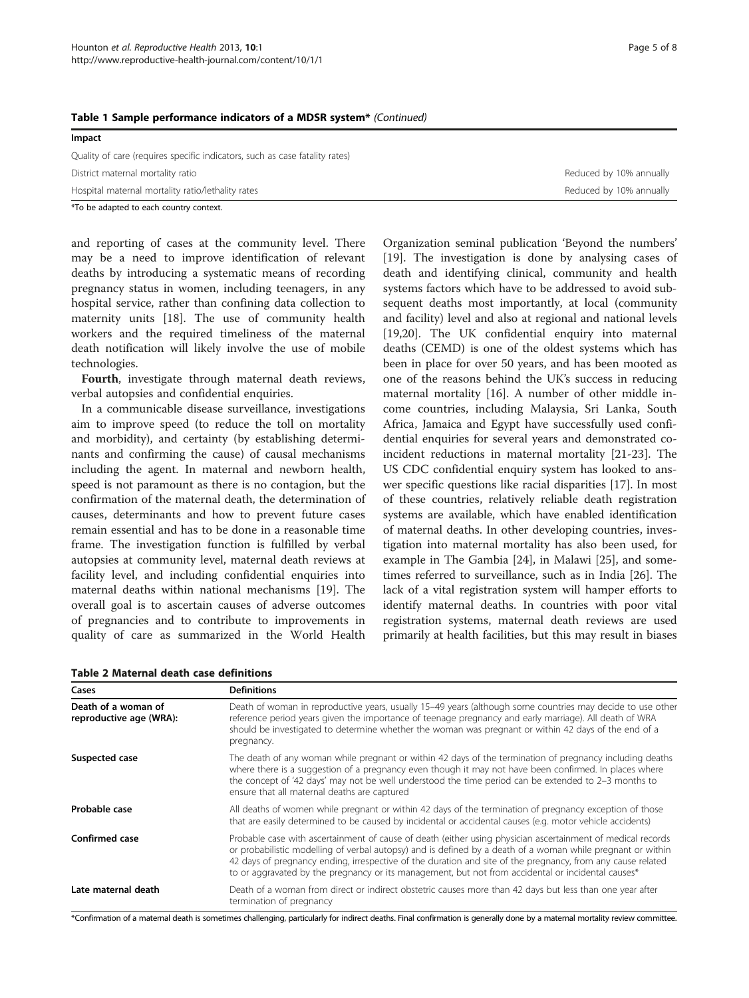<span id="page-4-0"></span>Impact

| *To be adapted to each country context.                                     |                         |
|-----------------------------------------------------------------------------|-------------------------|
| Hospital maternal mortality ratio/lethality rates                           | Reduced by 10% annually |
| District maternal mortality ratio                                           | Reduced by 10% annually |
| Quality of care (requires specific indicators, such as case fatality rates) |                         |
| <b>IMDACT</b>                                                               |                         |

and reporting of cases at the community level. There may be a need to improve identification of relevant deaths by introducing a systematic means of recording pregnancy status in women, including teenagers, in any hospital service, rather than confining data collection to maternity units [[18\]](#page-7-0). The use of community health workers and the required timeliness of the maternal death notification will likely involve the use of mobile technologies.

Fourth, investigate through maternal death reviews, verbal autopsies and confidential enquiries.

In a communicable disease surveillance, investigations aim to improve speed (to reduce the toll on mortality and morbidity), and certainty (by establishing determinants and confirming the cause) of causal mechanisms including the agent. In maternal and newborn health, speed is not paramount as there is no contagion, but the confirmation of the maternal death, the determination of causes, determinants and how to prevent future cases remain essential and has to be done in a reasonable time frame. The investigation function is fulfilled by verbal autopsies at community level, maternal death reviews at facility level, and including confidential enquiries into maternal deaths within national mechanisms [[19](#page-7-0)]. The overall goal is to ascertain causes of adverse outcomes of pregnancies and to contribute to improvements in quality of care as summarized in the World Health

Table 2 Maternal death case definitions

| Organization seminal publication 'Beyond the numbers'         |
|---------------------------------------------------------------|
| [19]. The investigation is done by analysing cases of         |
| death and identifying clinical, community and health          |
| systems factors which have to be addressed to avoid sub-      |
| sequent deaths most importantly, at local (community          |
| and facility) level and also at regional and national levels  |
| [19,20]. The UK confidential enquiry into maternal            |
| deaths (CEMD) is one of the oldest systems which has          |
| been in place for over 50 years, and has been mooted as       |
| one of the reasons behind the UK's success in reducing        |
| maternal mortality [16]. A number of other middle in-         |
| come countries, including Malaysia, Sri Lanka, South          |
| Africa, Jamaica and Egypt have successfully used confi-       |
| dential enquiries for several years and demonstrated co-      |
| incident reductions in maternal mortality [21-23]. The        |
| US CDC confidential enquiry system has looked to ans-         |
| wer specific questions like racial disparities [17]. In most  |
| of these countries, relatively reliable death registration    |
| systems are available, which have enabled identification      |
| of maternal deaths. In other developing countries, inves-     |
| tigation into maternal mortality has also been used, for      |
| example in The Gambia [24], in Malawi [25], and some-         |
| times referred to surveillance, such as in India [26]. The    |
| lack of a vital registration system will hamper efforts to    |
| identify maternal deaths. In countries with poor vital        |
| registration systems, maternal death reviews are used         |
| primarily at health facilities, but this may result in biases |

| Cases                                          | <b>Definitions</b>                                                                                                                                                                                                                                                                                                                                                                                                                              |
|------------------------------------------------|-------------------------------------------------------------------------------------------------------------------------------------------------------------------------------------------------------------------------------------------------------------------------------------------------------------------------------------------------------------------------------------------------------------------------------------------------|
| Death of a woman of<br>reproductive age (WRA): | Death of woman in reproductive years, usually 15-49 years (although some countries may decide to use other<br>reference period years given the importance of teenage pregnancy and early marriage). All death of WRA<br>should be investigated to determine whether the woman was pregnant or within 42 days of the end of a<br>pregnancy.                                                                                                      |
| Suspected case                                 | The death of any woman while pregnant or within 42 days of the termination of pregnancy including deaths<br>where there is a suggestion of a pregnancy even though it may not have been confirmed. In places where<br>the concept of '42 days' may not be well understood the time period can be extended to 2-3 months to<br>ensure that all maternal deaths are captured                                                                      |
| Probable case                                  | All deaths of women while pregnant or within 42 days of the termination of pregnancy exception of those<br>that are easily determined to be caused by incidental or accidental causes (e.g. motor vehicle accidents)                                                                                                                                                                                                                            |
| Confirmed case                                 | Probable case with ascertainment of cause of death (either using physician ascertainment of medical records<br>or probabilistic modelling of verbal autopsy) and is defined by a death of a woman while pregnant or within<br>42 days of pregnancy ending, irrespective of the duration and site of the pregnancy, from any cause related<br>to or aggravated by the pregnancy or its management, but not from accidental or incidental causes* |
| Late maternal death                            | Death of a woman from direct or indirect obstetric causes more than 42 days but less than one year after<br>termination of pregnancy                                                                                                                                                                                                                                                                                                            |

\*Confirmation of a maternal death is sometimes challenging, particularly for indirect deaths. Final confirmation is generally done by a maternal mortality review committee.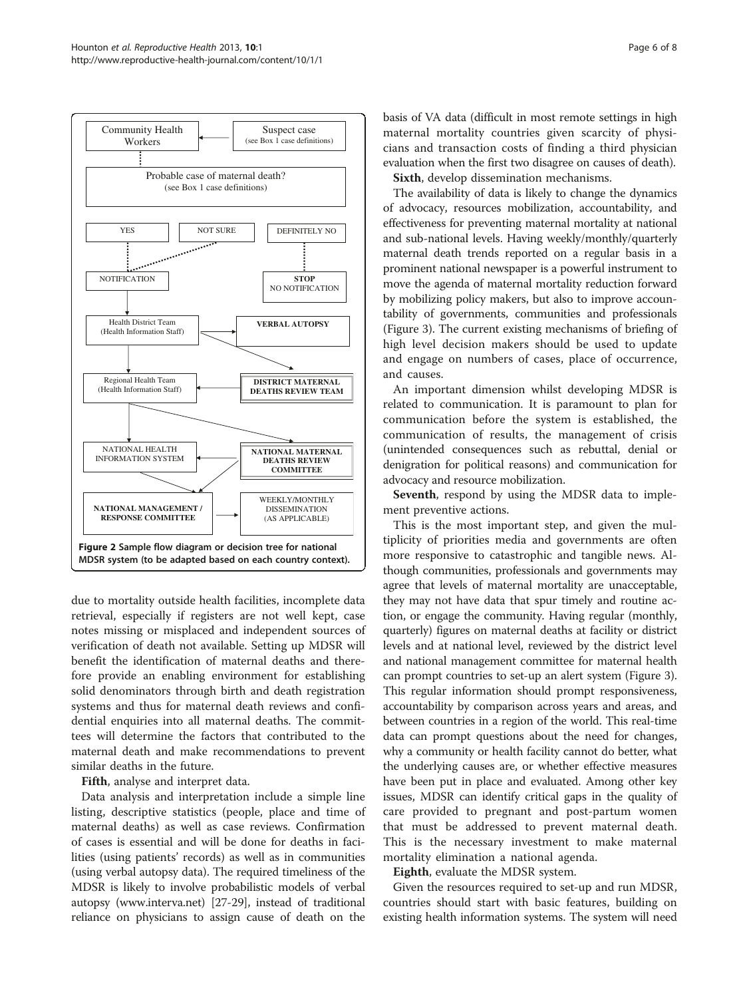<span id="page-5-0"></span>

**DEATHS REVIEW COMMITTEE**

WEEKLY/MONTHLY DISSEMINATION (AS APPLICABLE)

due to mortality outside health facilities, incomplete data retrieval, especially if registers are not well kept, case notes missing or misplaced and independent sources of verification of death not available. Setting up MDSR will benefit the identification of maternal deaths and therefore provide an enabling environment for establishing solid denominators through birth and death registration systems and thus for maternal death reviews and confidential enquiries into all maternal deaths. The committees will determine the factors that contributed to the maternal death and make recommendations to prevent similar deaths in the future.

Figure 2 Sample flow diagram or decision tree for national MDSR system (to be adapted based on each country context).

Fifth, analyse and interpret data.

INFORMATION SYSTEM

**NATIONAL MANAGEMENT / RESPONSE COMMITTEE**

Data analysis and interpretation include a simple line listing, descriptive statistics (people, place and time of maternal deaths) as well as case reviews. Confirmation of cases is essential and will be done for deaths in facilities (using patients' records) as well as in communities (using verbal autopsy data). The required timeliness of the MDSR is likely to involve probabilistic models of verbal autopsy [\(www.interva.net](http://www.interva.net)) [\[27-29\]](#page-7-0), instead of traditional reliance on physicians to assign cause of death on the basis of VA data (difficult in most remote settings in high maternal mortality countries given scarcity of physicians and transaction costs of finding a third physician evaluation when the first two disagree on causes of death). Sixth, develop dissemination mechanisms.

The availability of data is likely to change the dynamics of advocacy, resources mobilization, accountability, and effectiveness for preventing maternal mortality at national and sub-national levels. Having weekly/monthly/quarterly maternal death trends reported on a regular basis in a prominent national newspaper is a powerful instrument to move the agenda of maternal mortality reduction forward by mobilizing policy makers, but also to improve accountability of governments, communities and professionals (Figure [3\)](#page-6-0). The current existing mechanisms of briefing of high level decision makers should be used to update and engage on numbers of cases, place of occurrence, and causes.

An important dimension whilst developing MDSR is related to communication. It is paramount to plan for communication before the system is established, the communication of results, the management of crisis (unintended consequences such as rebuttal, denial or denigration for political reasons) and communication for advocacy and resource mobilization.

Seventh, respond by using the MDSR data to implement preventive actions.

This is the most important step, and given the multiplicity of priorities media and governments are often more responsive to catastrophic and tangible news. Although communities, professionals and governments may agree that levels of maternal mortality are unacceptable, they may not have data that spur timely and routine action, or engage the community. Having regular (monthly, quarterly) figures on maternal deaths at facility or district levels and at national level, reviewed by the district level and national management committee for maternal health can prompt countries to set-up an alert system (Figure [3](#page-6-0)). This regular information should prompt responsiveness, accountability by comparison across years and areas, and between countries in a region of the world. This real-time data can prompt questions about the need for changes, why a community or health facility cannot do better, what the underlying causes are, or whether effective measures have been put in place and evaluated. Among other key issues, MDSR can identify critical gaps in the quality of care provided to pregnant and post-partum women that must be addressed to prevent maternal death. This is the necessary investment to make maternal mortality elimination a national agenda.

Eighth, evaluate the MDSR system.

Given the resources required to set-up and run MDSR, countries should start with basic features, building on existing health information systems. The system will need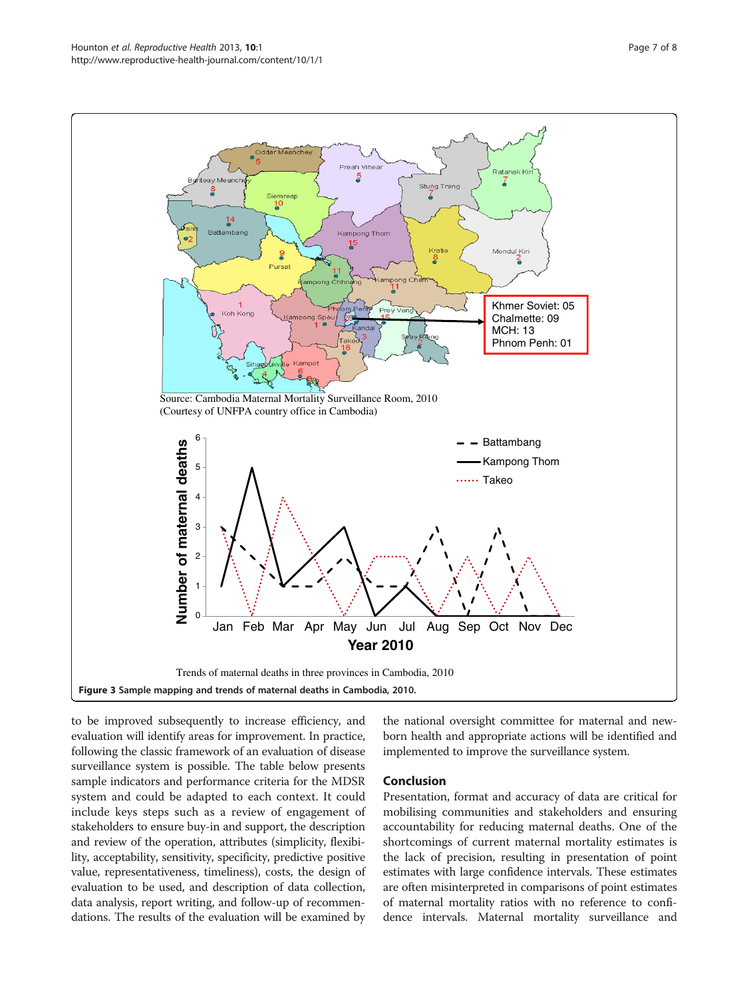<span id="page-6-0"></span>

to be improved subsequently to increase efficiency, and evaluation will identify areas for improvement. In practice, following the classic framework of an evaluation of disease surveillance system is possible. The table below presents sample indicators and performance criteria for the MDSR system and could be adapted to each context. It could include keys steps such as a review of engagement of stakeholders to ensure buy-in and support, the description and review of the operation, attributes (simplicity, flexibility, acceptability, sensitivity, specificity, predictive positive value, representativeness, timeliness), costs, the design of evaluation to be used, and description of data collection, data analysis, report writing, and follow-up of recommendations. The results of the evaluation will be examined by the national oversight committee for maternal and newborn health and appropriate actions will be identified and implemented to improve the surveillance system.

# Conclusion

Presentation, format and accuracy of data are critical for mobilising communities and stakeholders and ensuring accountability for reducing maternal deaths. One of the shortcomings of current maternal mortality estimates is the lack of precision, resulting in presentation of point estimates with large confidence intervals. These estimates are often misinterpreted in comparisons of point estimates of maternal mortality ratios with no reference to confidence intervals. Maternal mortality surveillance and